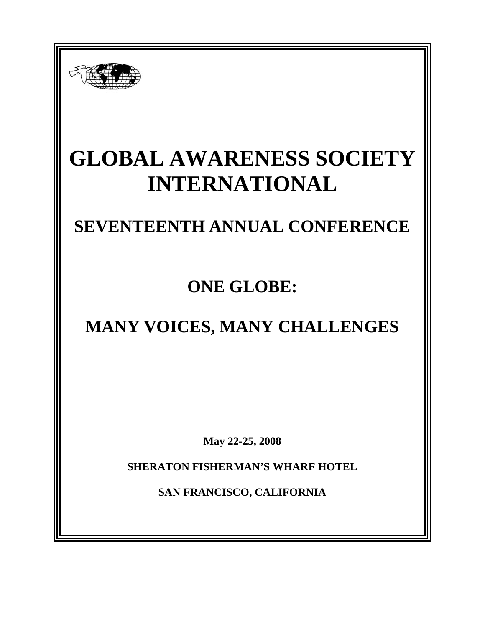

# **GLOBAL AWARENESS SOCIETY INTERNATIONAL**

# **SEVENTEENTH ANNUAL CONFERENCE**

**ONE GLOBE:** 

# **MANY VOICES, MANY CHALLENGES**

**May 22-25, 2008** 

**SHERATON FISHERMAN'S WHARF HOTEL** 

**SAN FRANCISCO, CALIFORNIA**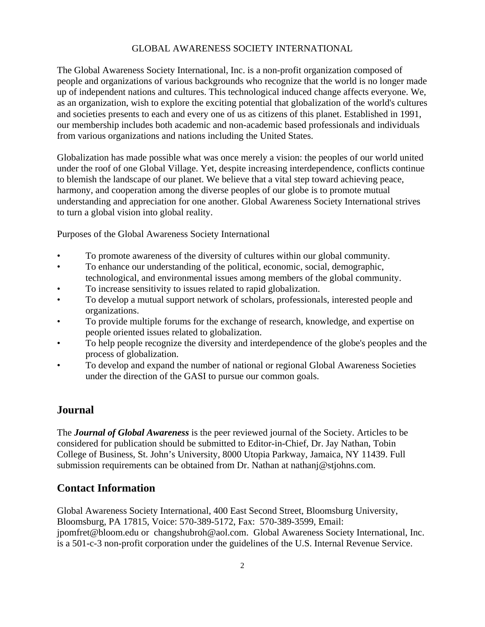#### GLOBAL AWARENESS SOCIETY INTERNATIONAL

The Global Awareness Society International, Inc. is a non-profit organization composed of people and organizations of various backgrounds who recognize that the world is no longer made up of independent nations and cultures. This technological induced change affects everyone. We, as an organization, wish to explore the exciting potential that globalization of the world's cultures and societies presents to each and every one of us as citizens of this planet. Established in 1991, our membership includes both academic and non-academic based professionals and individuals from various organizations and nations including the United States.

Globalization has made possible what was once merely a vision: the peoples of our world united under the roof of one Global Village. Yet, despite increasing interdependence, conflicts continue to blemish the landscape of our planet. We believe that a vital step toward achieving peace, harmony, and cooperation among the diverse peoples of our globe is to promote mutual understanding and appreciation for one another. Global Awareness Society International strives to turn a global vision into global reality.

Purposes of the Global Awareness Society International

- To promote awareness of the diversity of cultures within our global community.
- To enhance our understanding of the political, economic, social, demographic, technological, and environmental issues among members of the global community.
- To increase sensitivity to issues related to rapid globalization.
- To develop a mutual support network of scholars, professionals, interested people and organizations.
- To provide multiple forums for the exchange of research, knowledge, and expertise on people oriented issues related to globalization.
- To help people recognize the diversity and interdependence of the globe's peoples and the process of globalization.
- To develop and expand the number of national or regional Global Awareness Societies under the direction of the GASI to pursue our common goals.

#### **Journal**

The *Journal of Global Awareness* is the peer reviewed journal of the Society. Articles to be considered for publication should be submitted to Editor-in-Chief, Dr. Jay Nathan, Tobin College of Business, St. John's University, 8000 Utopia Parkway, Jamaica, NY 11439. Full submission requirements can be obtained from Dr. Nathan at nathanj@stjohns.com.

#### **Contact Information**

Global Awareness Society International, 400 East Second Street, Bloomsburg University, Bloomsburg, PA 17815, Voice: 570-389-5172, Fax: 570-389-3599, Email: jpomfret@bloom.edu or changshubroh@aol.com. Global Awareness Society International, Inc. is a 501-c-3 non-profit corporation under the guidelines of the U.S. Internal Revenue Service.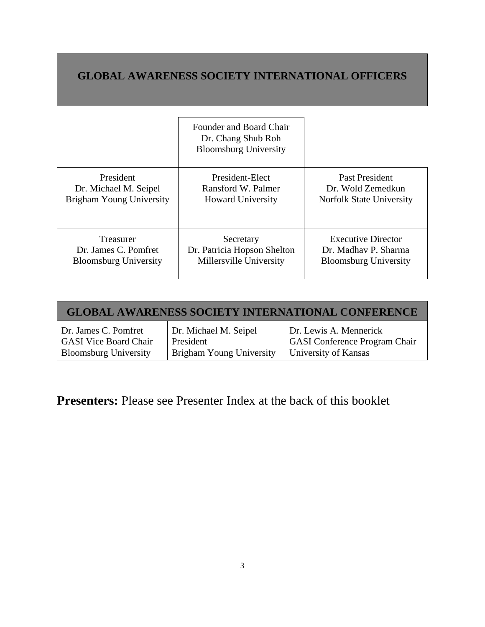# **GLOBAL AWARENESS SOCIETY INTERNATIONAL OFFICERS**

|                              | Founder and Board Chair<br>Dr. Chang Shub Roh<br><b>Bloomsburg University</b> |                              |
|------------------------------|-------------------------------------------------------------------------------|------------------------------|
| President                    | President-Elect                                                               | Past President               |
| Dr. Michael M. Seipel        | Ransford W. Palmer                                                            | Dr. Wold Zemedkun            |
| Brigham Young University     | <b>Howard University</b>                                                      | Norfolk State University     |
| Treasurer                    | Secretary                                                                     | <b>Executive Director</b>    |
| Dr. James C. Pomfret         | Dr. Patricia Hopson Shelton                                                   | Dr. Madhay P. Sharma         |
| <b>Bloomsburg University</b> | Millersville University                                                       | <b>Bloomsburg University</b> |

| <b>GLOBAL AWARENESS SOCIETY INTERNATIONAL CONFERENCE</b> |                                 |                                      |  |  |
|----------------------------------------------------------|---------------------------------|--------------------------------------|--|--|
| Dr. James C. Pomfret                                     | Dr. Michael M. Seipel           | Dr. Lewis A. Mennerick               |  |  |
| <b>GASI Vice Board Chair</b>                             | President                       | <b>GASI</b> Conference Program Chair |  |  |
| <b>Bloomsburg University</b>                             | <b>Brigham Young University</b> | University of Kansas                 |  |  |

**Presenters:** Please see Presenter Index at the back of this booklet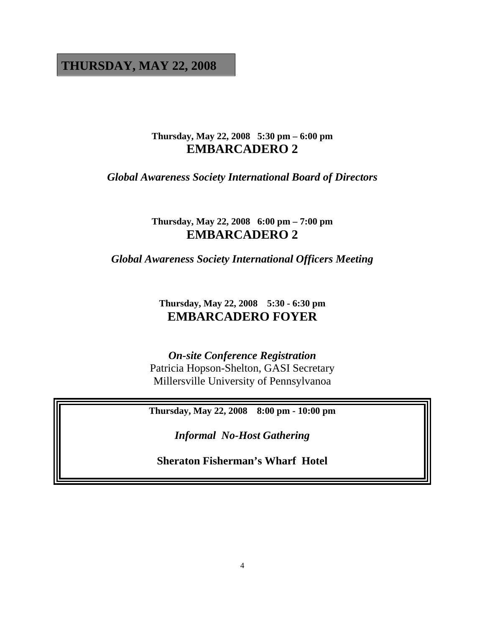## **THURSDAY, MAY 22, 2008**

### **Thursday, May 22, 2008 5:30 pm – 6:00 pm EMBARCADERO 2**

*Global Awareness Society International Board of Directors*

**Thursday, May 22, 2008 6:00 pm – 7:00 pm EMBARCADERO 2** 

*Global Awareness Society International Officers Meeting*

**Thursday, May 22, 2008 5:30 - 6:30 pm EMBARCADERO FOYER** 

## *On-site Conference Registration*

Patricia Hopson-Shelton, GASI Secretary Millersville University of Pennsylvanoa

**Thursday, May 22, 2008 8:00 pm - 10:00 pm**

*Informal No-Host Gathering* 

**Sheraton Fisherman's Wharf Hotel**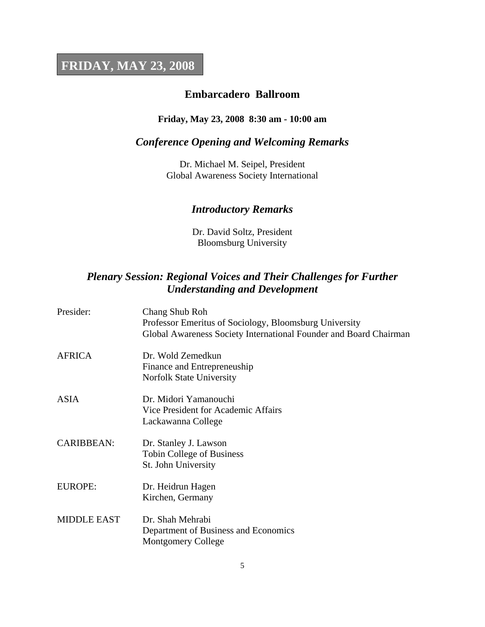# **FRIDAY, MAY 23, 2008**

### **Embarcadero Ballroom**

### **Friday, May 23, 2008 8:30 am - 10:00 am**

### *Conference Opening and Welcoming Remarks*

Dr. Michael M. Seipel, President Global Awareness Society International

### *Introductory Remarks*

Dr. David Soltz, President Bloomsburg University

### *Plenary Session: Regional Voices and Their Challenges for Further Understanding and Development*

| Presider:          | Chang Shub Roh<br>Professor Emeritus of Sociology, Bloomsburg University |  |
|--------------------|--------------------------------------------------------------------------|--|
|                    | Global Awareness Society International Founder and Board Chairman        |  |
| <b>AFRICA</b>      | Dr. Wold Zemedkun<br>Finance and Entrepreneuship                         |  |
|                    | Norfolk State University                                                 |  |
| <b>ASIA</b>        | Dr. Midori Yamanouchi                                                    |  |
|                    | Vice President for Academic Affairs<br>Lackawanna College                |  |
| <b>CARIBBEAN:</b>  | Dr. Stanley J. Lawson                                                    |  |
|                    | <b>Tobin College of Business</b><br>St. John University                  |  |
| <b>EUROPE:</b>     | Dr. Heidrun Hagen<br>Kirchen, Germany                                    |  |
|                    |                                                                          |  |
| <b>MIDDLE EAST</b> | Dr. Shah Mehrabi<br>Department of Business and Economics                 |  |
|                    | <b>Montgomery College</b>                                                |  |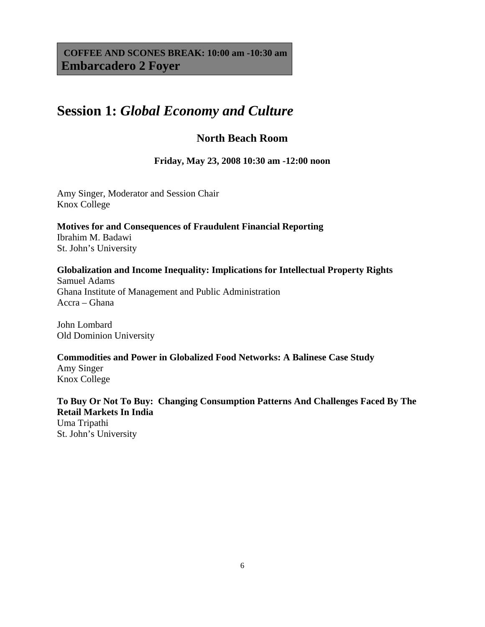**COFFEE AND SCONES BREAK: 10:00 am -10:30 am Embarcadero 2 Foyer**

# **Session 1:** *Global Economy and Culture*

### **North Beach Room**

**Friday, May 23, 2008 10:30 am -12:00 noon**

Amy Singer, Moderator and Session Chair Knox College

**Motives for and Consequences of Fraudulent Financial Reporting** Ibrahim M. Badawi St. John's University

#### **Globalization and Income Inequality: Implications for Intellectual Property Rights**

Samuel Adams Ghana Institute of Management and Public Administration Accra – Ghana

John Lombard Old Dominion University

#### **Commodities and Power in Globalized Food Networks: A Balinese Case Study**

Amy Singer Knox College

### **To Buy Or Not To Buy: Changing Consumption Patterns And Challenges Faced By The Retail Markets In India**

Uma Tripathi St. John's University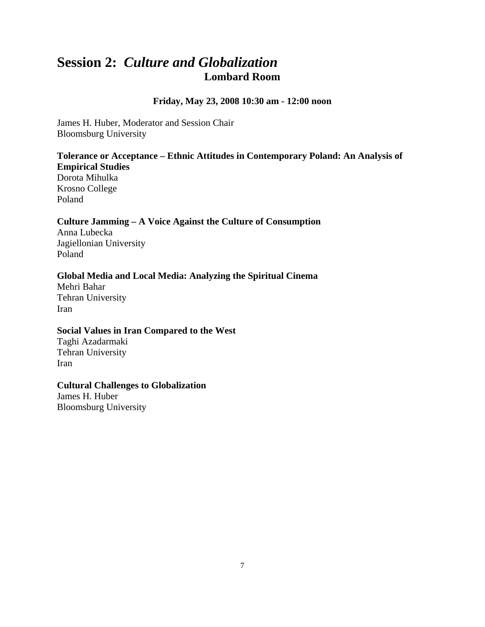# **Session 2:** *Culture and Globalization* **Lombard Room**

#### **Friday, May 23, 2008 10:30 am - 12:00 noon**

James H. Huber, Moderator and Session Chair Bloomsburg University

#### **Tolerance or Acceptance – Ethnic Attitudes in Contemporary Poland: An Analysis of Empirical Studies**

Dorota Mihulka Krosno College Poland

#### **Culture Jamming – A Voice Against the Culture of Consumption**

Anna Lubecka Jagiellonian University Poland

#### **Global Media and Local Media: Analyzing the Spiritual Cinema**

Mehri Bahar Tehran University Iran

#### **Social Values in Iran Compared to the West**

Taghi Azadarmaki Tehran University Iran

#### **Cultural Challenges to Globalization**

James H. Huber Bloomsburg University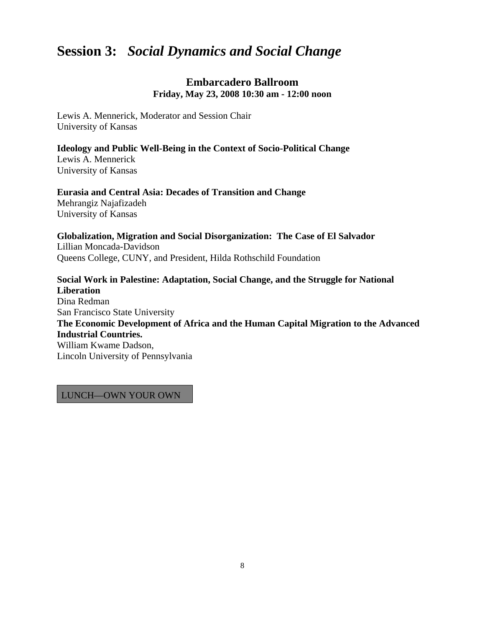# **Session 3:** *Social Dynamics and Social Change*

### **Embarcadero Ballroom Friday, May 23, 2008 10:30 am - 12:00 noon**

Lewis A. Mennerick, Moderator and Session Chair University of Kansas

**Ideology and Public Well-Being in the Context of Socio-Political Change** Lewis A. Mennerick University of Kansas

**Eurasia and Central Asia: Decades of Transition and Change**  Mehrangiz Najafizadeh University of Kansas

**Globalization, Migration and Social Disorganization: The Case of El Salvador** Lillian Moncada-Davidson Queens College, CUNY, and President, Hilda Rothschild Foundation

**Social Work in Palestine: Adaptation, Social Change, and the Struggle for National Liberation** Dina Redman San Francisco State University **The Economic Development of Africa and the Human Capital Migration to the Advanced Industrial Countries.**  William Kwame Dadson, Lincoln University of Pennsylvania

LUNCH—OWN YOUR OWN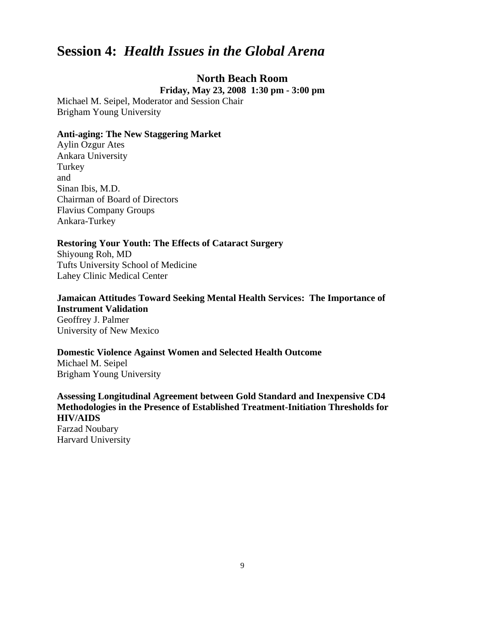# **Session 4:** *Health Issues in the Global Arena*

### **North Beach Room**

**Friday, May 23, 2008 1:30 pm - 3:00 pm**

Michael M. Seipel, Moderator and Session Chair Brigham Young University

#### **Anti-aging: The New Staggering Market**

Aylin Ozgur Ates Ankara University Turkey and Sinan Ibis, M.D. Chairman of Board of Directors Flavius Company Groups Ankara-Turkey

#### **Restoring Your Youth: The Effects of Cataract Surgery**

Shiyoung Roh, MD Tufts University School of Medicine Lahey Clinic Medical Center

### **Jamaican Attitudes Toward Seeking Mental Health Services: The Importance of Instrument Validation**

Geoffrey J. Palmer University of New Mexico

#### **Domestic Violence Against Women and Selected Health Outcome**

Michael M. Seipel Brigham Young University

**Assessing Longitudinal Agreement between Gold Standard and Inexpensive CD4 Methodologies in the Presence of Established Treatment-Initiation Thresholds for HIV/AIDS** Farzad Noubary

Harvard University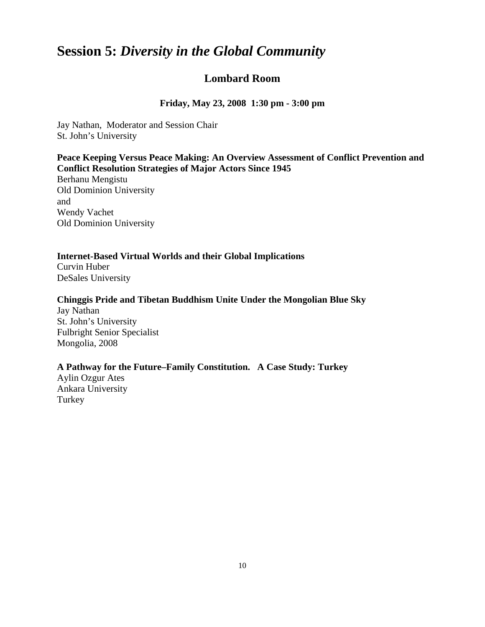# **Session 5:** *Diversity in the Global Community*

### **Lombard Room**

**Friday, May 23, 2008 1:30 pm - 3:00 pm**

Jay Nathan, Moderator and Session Chair St. John's University

#### **Peace Keeping Versus Peace Making: An Overview Assessment of Conflict Prevention and Conflict Resolution Strategies of Major Actors Since 1945**

Berhanu Mengistu Old Dominion University and Wendy Vachet Old Dominion University

#### **Internet-Based Virtual Worlds and their Global Implications**

Curvin Huber DeSales University

#### **Chinggis Pride and Tibetan Buddhism Unite Under the Mongolian Blue Sky**

Jay Nathan St. John's University Fulbright Senior Specialist Mongolia, 2008

#### **A Pathway for the Future–Family Constitution. A Case Study: Turkey**

Aylin Ozgur Ates Ankara University Turkey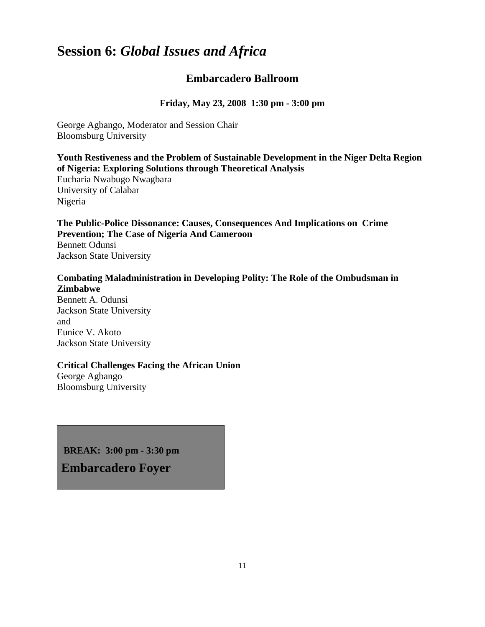# **Session 6:** *Global Issues and Africa*

### **Embarcadero Ballroom**

**Friday, May 23, 2008 1:30 pm - 3:00 pm**

George Agbango, Moderator and Session Chair Bloomsburg University

#### **Youth Restiveness and the Problem of Sustainable Development in the Niger Delta Region of Nigeria: Exploring Solutions through Theoretical Analysis**

Eucharia Nwabugo Nwagbara University of Calabar Nigeria

**The Public-Police Dissonance: Causes, Consequences And Implications on Crime Prevention; The Case of Nigeria And Cameroon** Bennett Odunsi Jackson State University

#### **Combating Maladministration in Developing Polity: The Role of the Ombudsman in Zimbabwe**

Bennett A. Odunsi Jackson State University and Eunice V. Akoto Jackson State University

#### **Critical Challenges Facing the African Union**

George Agbango Bloomsburg University

 **BREAK: 3:00 pm - 3:30 pm** 

**Embarcadero Foyer**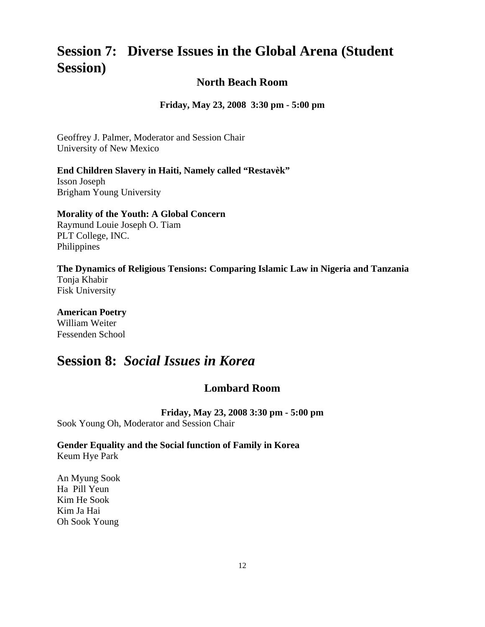# **Session 7: Diverse Issues in the Global Arena (Student Session)**

### **North Beach Room**

**Friday, May 23, 2008 3:30 pm - 5:00 pm**

Geoffrey J. Palmer, Moderator and Session Chair University of New Mexico

#### **End Children Slavery in Haiti, Namely called "Restavèk"**

Isson Joseph Brigham Young University

#### **Morality of the Youth: A Global Concern**

Raymund Louie Joseph O. Tiam PLT College, INC. Philippines

## **The Dynamics of Religious Tensions: Comparing Islamic Law in Nigeria and Tanzania**  Tonja Khabir

Fisk University

#### **American Poetry** William Weiter Fessenden School

# **Session 8:** *Social Issues in Korea*

### **Lombard Room**

**Friday, May 23, 2008 3:30 pm - 5:00 pm** 

Sook Young Oh, Moderator and Session Chair

#### **Gender Equality and the Social function of Family in Korea**  Keum Hye Park

An Myung Sook Ha Pill Yeun Kim He Sook Kim Ja Hai Oh Sook Young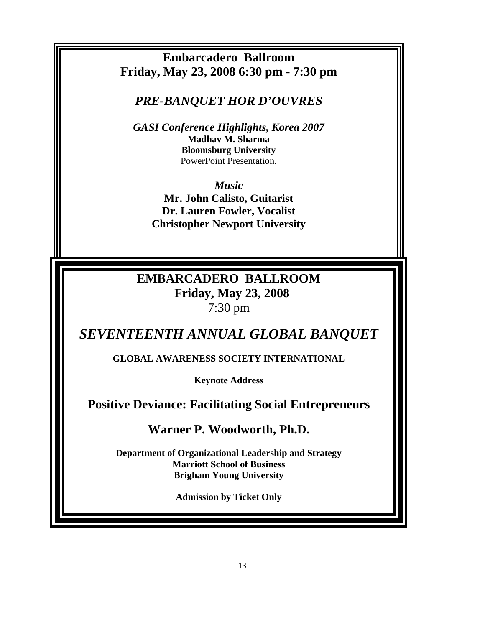**Embarcadero Ballroom Friday, May 23, 2008 6:30 pm - 7:30 pm**

*PRE-BANQUET HOR D'OUVRES*

*GASI Conference Highlights, Korea 2007* **Madhav M. Sharma Bloomsburg University** PowerPoint Presentation.

*Music* **Mr. John Calisto, Guitarist Dr. Lauren Fowler, Vocalist Christopher Newport University** 

# **EMBARCADERO BALLROOM Friday, May 23, 2008** 7:30 pm

*SEVENTEENTH ANNUAL GLOBAL BANQUET*

**GLOBAL AWARENESS SOCIETY INTERNATIONAL**

**Keynote Address** 

**Positive Deviance: Facilitating Social Entrepreneurs**

**Warner P. Woodworth, Ph.D.**

**Department of Organizational Leadership and Strategy Marriott School of Business Brigham Young University** 

**Admission by Ticket Only**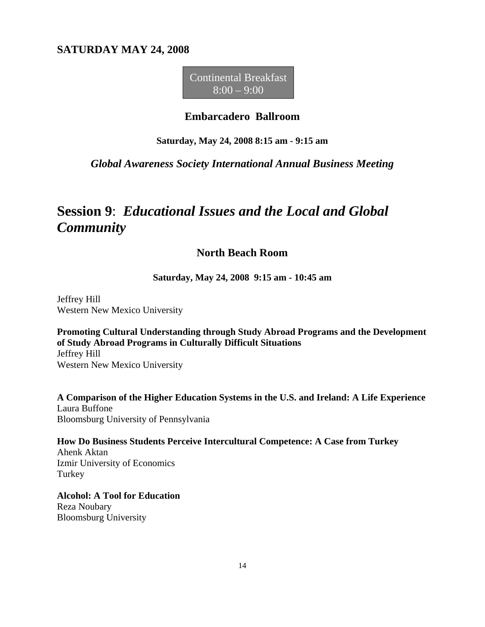### **SATURDAY MAY 24, 2008**

Continental Breakfast  $8:00 - 9:00$ 

#### **Embarcadero Ballroom**

#### **Saturday, May 24, 2008 8:15 am - 9:15 am**

#### *Global Awareness Society International Annual Business Meeting*

# **Session 9**: *Educational Issues and the Local and Global Community*

### **North Beach Room**

**Saturday, May 24, 2008 9:15 am - 10:45 am**

Jeffrey Hill Western New Mexico University

**Promoting Cultural Understanding through Study Abroad Programs and the Development of Study Abroad Programs in Culturally Difficult Situations**  Jeffrey Hill Western New Mexico University

**A Comparison of the Higher Education Systems in the U.S. and Ireland: A Life Experience**  Laura Buffone Bloomsburg University of Pennsylvania

**How Do Business Students Perceive Intercultural Competence: A Case from Turkey**  Ahenk Aktan Izmir University of Economics Turkey

**Alcohol: A Tool for Education** Reza Noubary Bloomsburg University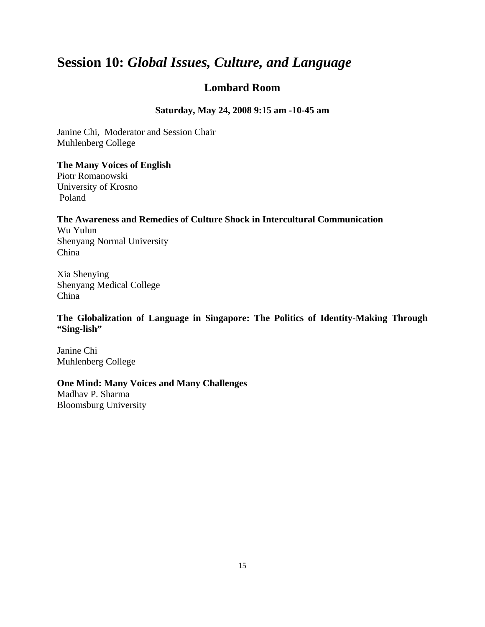# **Session 10:** *Global Issues, Culture, and Language*

### **Lombard Room**

#### **Saturday, May 24, 2008 9:15 am -10-45 am**

Janine Chi, Moderator and Session Chair Muhlenberg College

#### **The Many Voices of English**

Piotr Romanowski University of Krosno Poland

#### **The Awareness and Remedies of Culture Shock in Intercultural Communication** Wu Yulun

Shenyang Normal University China

Xia Shenying Shenyang Medical College China

**The Globalization of Language in Singapore: The Politics of Identity-Making Through "Sing-lish"**

Janine Chi Muhlenberg College

#### **One Mind: Many Voices and Many Challenges**

Madhav P. Sharma Bloomsburg University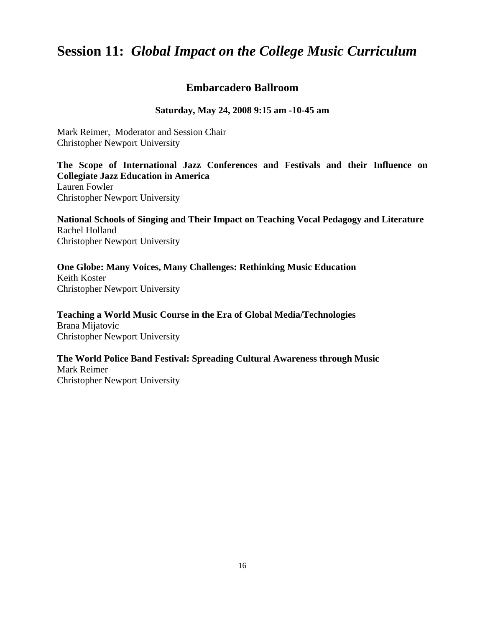# **Session 11:** *Global Impact on the College Music Curriculum*

### **Embarcadero Ballroom**

#### **Saturday, May 24, 2008 9:15 am -10-45 am**

Mark Reimer, Moderator and Session Chair Christopher Newport University

**The Scope of International Jazz Conferences and Festivals and their Influence on Collegiate Jazz Education in America**

Lauren Fowler Christopher Newport University

**National Schools of Singing and Their Impact on Teaching Vocal Pedagogy and Literature** Rachel Holland Christopher Newport University

**One Globe: Many Voices, Many Challenges: Rethinking Music Education** Keith Koster Christopher Newport University

**Teaching a World Music Course in the Era of Global Media/Technologies** Brana Mijatovic Christopher Newport University

**The World Police Band Festival: Spreading Cultural Awareness through Music** Mark Reimer Christopher Newport University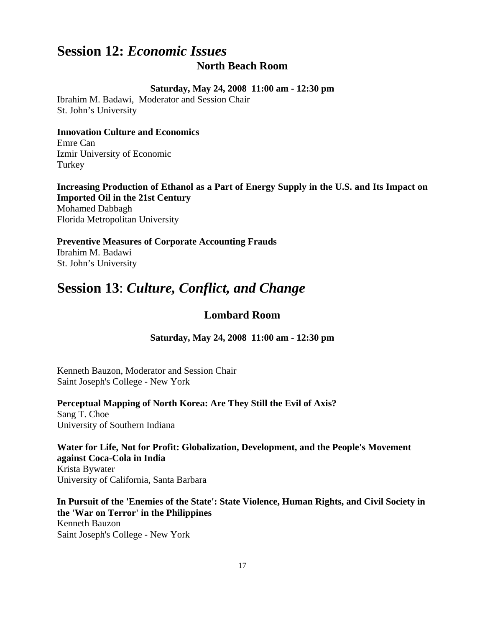## **Session 12:** *Economic Issues* **North Beach Room**

#### **Saturday, May 24, 2008 11:00 am - 12:30 pm**

Ibrahim M. Badawi, Moderator and Session Chair St. John's University

#### **Innovation Culture and Economics**

Emre Can Izmir University of Economic Turkey

#### **Increasing Production of Ethanol as a Part of Energy Supply in the U.S. and Its Impact on Imported Oil in the 21st Century**

Mohamed Dabbagh Florida Metropolitan University

**Preventive Measures of Corporate Accounting Frauds** Ibrahim M. Badawi St. John's University

# **Session 13**: *Culture, Conflict, and Change*

### **Lombard Room**

**Saturday, May 24, 2008 11:00 am - 12:30 pm**

Kenneth Bauzon, Moderator and Session Chair Saint Joseph's College - New York

**Perceptual Mapping of North Korea: Are They Still the Evil of Axis?** Sang T. Choe University of Southern Indiana

**Water for Life, Not for Profit: Globalization, Development, and the People's Movement against Coca-Cola in India** Krista Bywater University of California, Santa Barbara

**In Pursuit of the 'Enemies of the State': State Violence, Human Rights, and Civil Society in the 'War on Terror' in the Philippines** Kenneth Bauzon Saint Joseph's College - New York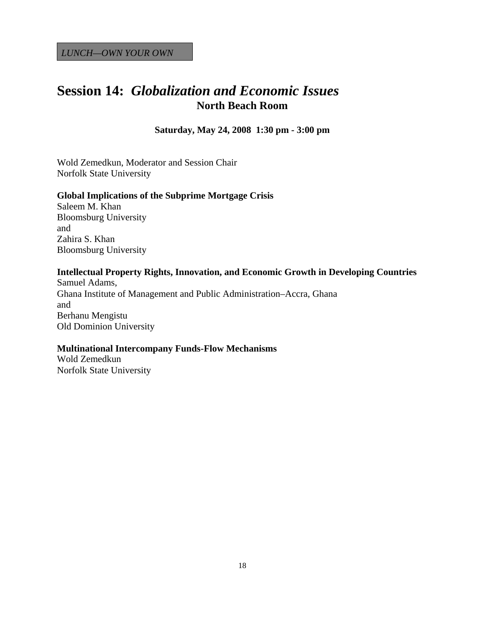# **Session 14:** *Globalization and Economic Issues* **North Beach Room**

**Saturday, May 24, 2008 1:30 pm - 3:00 pm**

Wold Zemedkun, Moderator and Session Chair Norfolk State University

#### **Global Implications of the Subprime Mortgage Crisis**

Saleem M. Khan Bloomsburg University and Zahira S. Khan Bloomsburg University

#### **Intellectual Property Rights, Innovation, and Economic Growth in Developing Countries**

Samuel Adams, Ghana Institute of Management and Public Administration–Accra, Ghana and Berhanu Mengistu Old Dominion University

#### **Multinational Intercompany Funds-Flow Mechanisms**

Wold Zemedkun Norfolk State University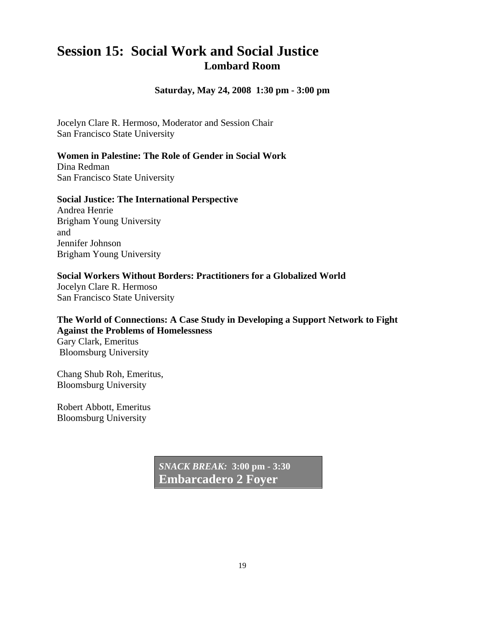# **Session 15: Social Work and Social Justice Lombard Room**

**Saturday, May 24, 2008 1:30 pm - 3:00 pm**

Jocelyn Clare R. Hermoso, Moderator and Session Chair San Francisco State University

#### **Women in Palestine: The Role of Gender in Social Work**

Dina Redman San Francisco State University

#### **Social Justice: The International Perspective**

Andrea Henrie Brigham Young University and Jennifer Johnson Brigham Young University

#### **Social Workers Without Borders: Practitioners for a Globalized World**

Jocelyn Clare R. Hermoso San Francisco State University

**The World of Connections: A Case Study in Developing a Support Network to Fight Against the Problems of Homelessness** Gary Clark, Emeritus Bloomsburg University

Chang Shub Roh, Emeritus, Bloomsburg University

Robert Abbott, Emeritus Bloomsburg University

> *SNACK BREAK:* **3:00 pm - 3:30 Embarcadero 2 Foyer**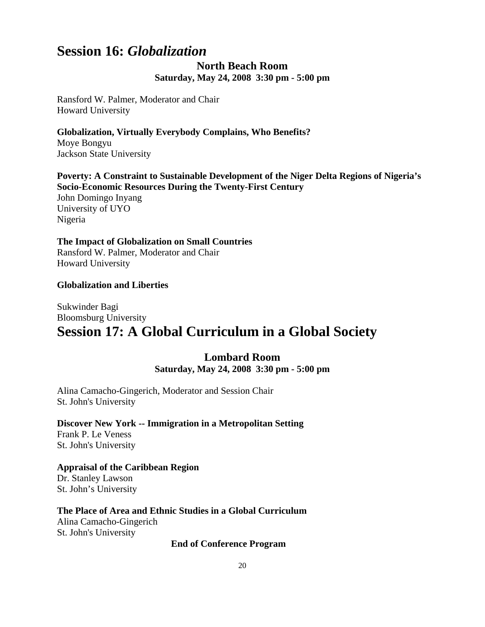# **Session 16:** *Globalization*

### **North Beach Room Saturday, May 24, 2008 3:30 pm - 5:00 pm**

Ransford W. Palmer, Moderator and Chair Howard University

**Globalization, Virtually Everybody Complains, Who Benefits?**  Moye Bongyu Jackson State University

**Poverty: A Constraint to Sustainable Development of the Niger Delta Regions of Nigeria's Socio-Economic Resources During the Twenty-First Century** John Domingo Inyang University of UYO Nigeria

**The Impact of Globalization on Small Countries** Ransford W. Palmer, Moderator and Chair Howard University

#### **Globalization and Liberties**

### Sukwinder Bagi Bloomsburg University **Session 17: A Global Curriculum in a Global Society**

#### **Lombard Room Saturday, May 24, 2008 3:30 pm - 5:00 pm**

Alina Camacho-Gingerich, Moderator and Session Chair St. John's University

#### **Discover New York -- Immigration in a Metropolitan Setting**

Frank P. Le Veness St. John's University

**Appraisal of the Caribbean Region**  Dr. Stanley Lawson St. John's University

**The Place of Area and Ethnic Studies in a Global Curriculum** Alina Camacho-Gingerich

St. John's University

**End of Conference Program**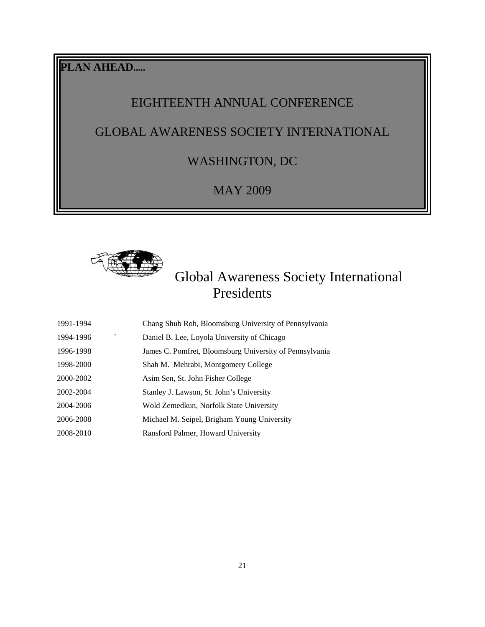**PLAN AHEAD.....**

# EIGHTEENTH ANNUAL CONFERENCE

# GLOBAL AWARENESS SOCIETY INTERNATIONAL

# WASHINGTON, DC

## MAY 2009



# Global Awareness Society International Presidents

| 1991-1994                 | Chang Shub Roh, Bloomsburg University of Pennsylvania   |
|---------------------------|---------------------------------------------------------|
| $\checkmark$<br>1994-1996 | Daniel B. Lee, Loyola University of Chicago             |
| 1996-1998                 | James C. Pomfret, Bloomsburg University of Pennsylvania |
| 1998-2000                 | Shah M. Mehrabi, Montgomery College                     |
| 2000-2002                 | Asim Sen, St. John Fisher College                       |
| 2002-2004                 | Stanley J. Lawson, St. John's University                |
| 2004-2006                 | Wold Zemedkun, Norfolk State University                 |
| 2006-2008                 | Michael M. Seipel, Brigham Young University             |
| 2008-2010                 | Ransford Palmer, Howard University                      |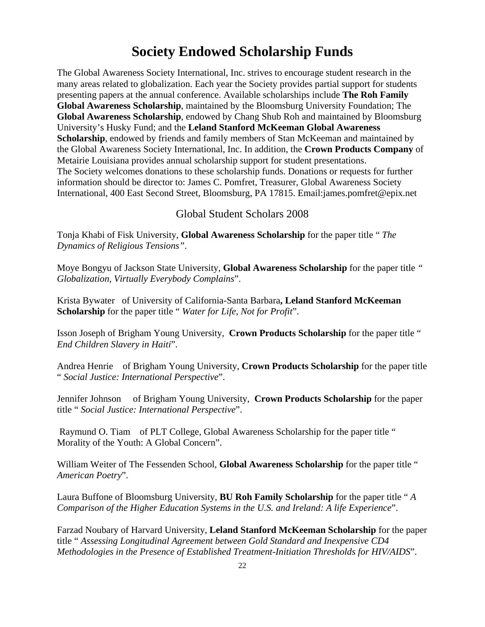# **Society Endowed Scholarship Funds**

The Global Awareness Society International, Inc. strives to encourage student research in the many areas related to globalization. Each year the Society provides partial support for students presenting papers at the annual conference. Available scholarships include **The Roh Family Global Awareness Scholarship**, maintained by the Bloomsburg University Foundation; The **Global Awareness Scholarship**, endowed by Chang Shub Roh and maintained by Bloomsburg University's Husky Fund; and the **Leland Stanford McKeeman Global Awareness Scholarship**, endowed by friends and family members of Stan McKeeman and maintained by the Global Awareness Society International, Inc. In addition, the **Crown Products Company** of Metairie Louisiana provides annual scholarship support for student presentations. The Society welcomes donations to these scholarship funds. Donations or requests for further information should be director to: James C. Pomfret, Treasurer, Global Awareness Society International, 400 East Second Street, Bloomsburg, PA 17815. Email:james.pomfret@epix.net

#### Global Student Scholars 2008

Tonja Khabi of Fisk University, **Global Awareness Scholarship** for the paper title " *The Dynamics of Religious Tensions"*.

Moye Bongyu of Jackson State University, **Global Awareness Scholarship** for the paper title *" Globalization, Virtually Everybody Complains*".

Krista Bywater of University of California-Santa Barbara**, Leland Stanford McKeeman Scholarship** for the paper title " *Water for Life, Not for Profit*".

Isson Joseph of Brigham Young University, **Crown Products Scholarship** for the paper title " *End Children Slavery in Haiti*".

Andrea Henrie of Brigham Young University, **Crown Products Scholarship** for the paper title " *Social Justice: International Perspective*".

Jennifer Johnson of Brigham Young University, **Crown Products Scholarship** for the paper title " *Social Justice: International Perspective*".

Raymund O. Tiam of PLT College, Global Awareness Scholarship for the paper title " Morality of the Youth: A Global Concern".

William Weiter of The Fessenden School, **Global Awareness Scholarship** for the paper title " *American Poetry*".

Laura Buffone of Bloomsburg University, **BU Roh Family Scholarship** for the paper title " *A Comparison of the Higher Education Systems in the U.S. and Ireland: A life Experience*".

Farzad Noubary of Harvard University, **Leland Stanford McKeeman Scholarship** for the paper title " *Assessing Longitudinal Agreement between Gold Standard and Inexpensive CD4 Methodologies in the Presence of Established Treatment-Initiation Thresholds for HIV/AIDS*".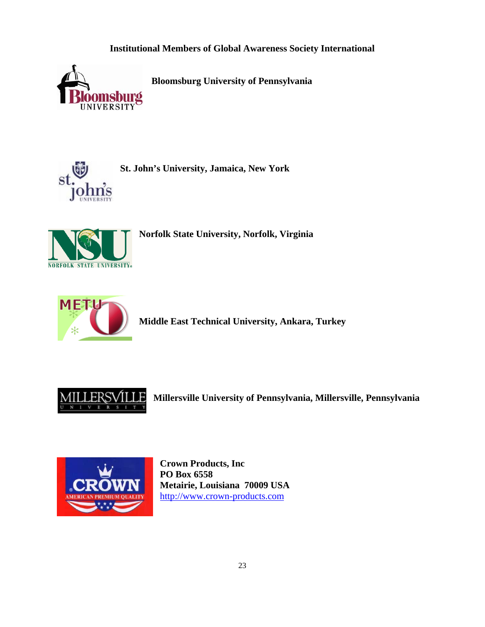### **Institutional Members of Global Awareness Society International**



 **Bloomsburg University of Pennsylvania** 



**St. John's University, Jamaica, New York** 



**Norfolk State University, Norfolk, Virginia** 



**Middle East Technical University, Ankara, Turkey** 



**Millersville University of Pennsylvania, Millersville, Pennsylvania** 



**Crown Products, Inc PO Box 6558 Metairie, Louisiana 70009 USA**  [http://www.crown-products.com](http://www.crown-products.com/)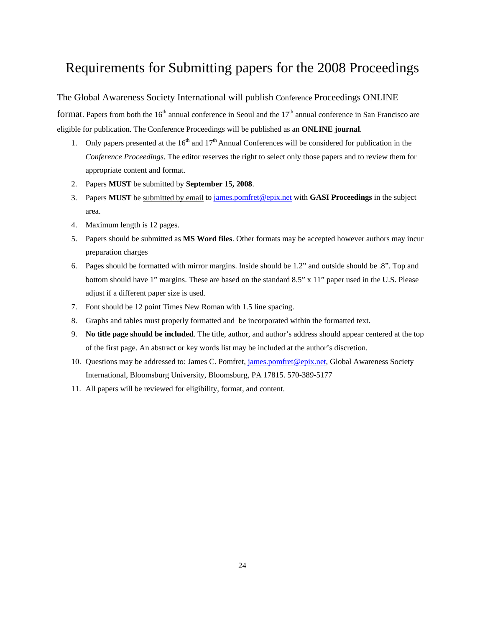# Requirements for Submitting papers for the 2008 Proceedings

The Global Awareness Society International will publish Conference Proceedings ONLINE

format. Papers from both the  $16<sup>th</sup>$  annual conference in Seoul and the  $17<sup>th</sup>$  annual conference in San Francisco are eligible for publication. The Conference Proceedings will be published as an **ONLINE journal**.

- 1. Only papers presented at the  $16<sup>th</sup>$  and  $17<sup>th</sup>$  Annual Conferences will be considered for publication in the *Conference Proceedings*. The editor reserves the right to select only those papers and to review them for appropriate content and format.
- 2. Papers **MUST** be submitted by **September 15, 2008**.
- 3. Papers **MUST** be submitted by email to [james.pomfret@epix.net](mailto:james.pomfret@epix.net) with **GASI Proceedings** in the subject area.
- 4. Maximum length is 12 pages.
- 5. Papers should be submitted as **MS Word files**. Other formats may be accepted however authors may incur preparation charges
- 6. Pages should be formatted with mirror margins. Inside should be 1.2" and outside should be .8". Top and bottom should have 1" margins. These are based on the standard 8.5" x 11" paper used in the U.S. Please adjust if a different paper size is used.
- 7. Font should be 12 point Times New Roman with 1.5 line spacing.
- 8. Graphs and tables must properly formatted and be incorporated within the formatted text.
- 9. **No title page should be included**. The title, author, and author's address should appear centered at the top of the first page. An abstract or key words list may be included at the author's discretion.
- 10. Questions may be addressed to: James C. Pomfret, [james.pomfret@epix.net,](mailto:james.pomfret@epix.net) Global Awareness Society International, Bloomsburg University, Bloomsburg, PA 17815. 570-389-5177
- 11. All papers will be reviewed for eligibility, format, and content.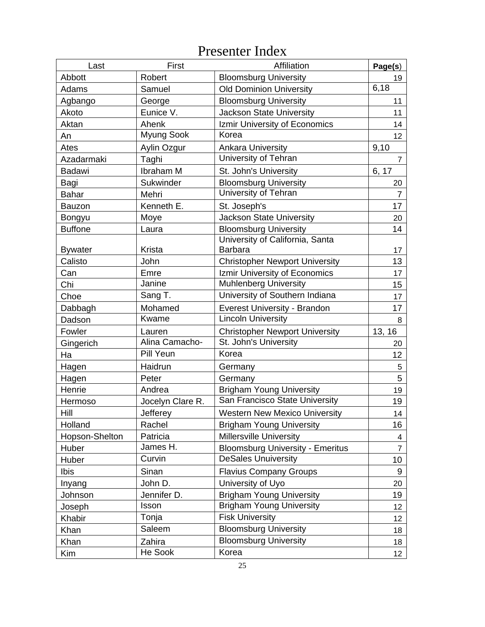# Presenter Index

| Last           | First            | Affiliation                             | Page(s)                 |
|----------------|------------------|-----------------------------------------|-------------------------|
| Abbott         | Robert           | <b>Bloomsburg University</b>            | 19                      |
| Adams          | Samuel           | <b>Old Dominion University</b>          | 6,18                    |
| Agbango        | George           | <b>Bloomsburg University</b>            | 11                      |
| Akoto          | Eunice V.        | <b>Jackson State University</b>         | 11                      |
| Aktan          | Ahenk            | Izmir University of Economics           | 14                      |
| An             | Myung Sook       | Korea                                   | 12                      |
| Ates           | Aylin Ozgur      | <b>Ankara University</b>                | 9,10                    |
| Azadarmaki     | Taghi            | University of Tehran                    | 7                       |
| <b>Badawi</b>  | Ibraham M        | St. John's University                   | 6, 17                   |
| Bagi           | Sukwinder        | <b>Bloomsburg University</b>            | 20                      |
| Bahar          | Mehri            | University of Tehran                    | $\overline{7}$          |
| <b>Bauzon</b>  | Kenneth E.       | St. Joseph's                            | 17                      |
| Bongyu         | Moye             | <b>Jackson State University</b>         | 20                      |
| <b>Buffone</b> | Laura            | <b>Bloomsburg University</b>            | 14                      |
|                |                  | University of California, Santa         |                         |
| <b>Bywater</b> | Krista           | <b>Barbara</b>                          | 17                      |
| Calisto        | John             | <b>Christopher Newport University</b>   | 13                      |
| Can            | Emre             | Izmir University of Economics           | 17                      |
| Chi            | Janine           | <b>Muhlenberg University</b>            | 15                      |
| Choe           | Sang T.          | University of Southern Indiana          | 17                      |
| Dabbagh        | Mohamed          | Everest University - Brandon            | 17                      |
| Dadson         | Kwame            | <b>Lincoln University</b>               | 8                       |
| Fowler         | Lauren           | <b>Christopher Newport University</b>   | 13, 16                  |
| Gingerich      | Alina Camacho-   | St. John's University                   | 20                      |
| Ha             | Pill Yeun        | Korea                                   | 12                      |
| Hagen          | Haidrun          | Germany                                 | 5                       |
| Hagen          | Peter            | Germany                                 | 5                       |
| Henrie         | Andrea           | <b>Brigham Young University</b>         | 19                      |
| Hermoso        | Jocelyn Clare R. | San Francisco State University          | 19                      |
| Hill           | Jefferey         | <b>Western New Mexico University</b>    | 14                      |
| Holland        | Rachel           | <b>Brigham Young University</b>         | 16                      |
| Hopson-Shelton | Patricia         | <b>Millersville University</b>          | $\overline{\mathbf{4}}$ |
| Huber          | James H.         | <b>Bloomsburg University - Emeritus</b> | $\overline{7}$          |
| Huber          | Curvin           | <b>DeSales Unuiversity</b>              | 10                      |
| Ibis           | Sinan            | <b>Flavius Company Groups</b>           | 9                       |
| Inyang         | John D.          | University of Uyo                       | 20                      |
| Johnson        | Jennifer D.      | <b>Brigham Young University</b>         | 19                      |
| Joseph         | Isson            | <b>Brigham Young University</b>         | 12                      |
| Khabir         | Tonja            | <b>Fisk University</b>                  | 12                      |
| Khan           | Saleem           | <b>Bloomsburg University</b>            | 18                      |
| Khan           | Zahira           | <b>Bloomsburg University</b>            | 18                      |
| Kim            | He Sook          | Korea                                   | 12 <sub>2</sub>         |